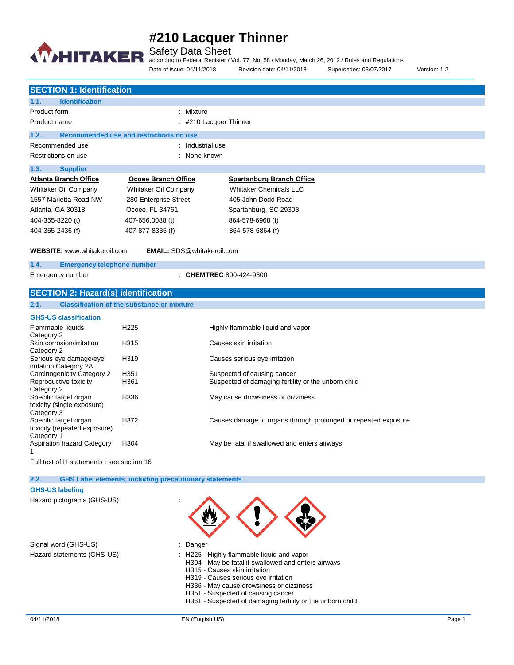

Safety Data Sheet

according to Federal Register / Vol. 77, No. 58 / Monday, March 26, 2012 / Rules and Regulations Date of issue: 04/11/2018 Revision date: 04/11/2018 Supersedes: 03/07/2017 Version: 1.2

|                  | <b>SECTION 1: Identification</b>                                         |                                         |                                  |  |
|------------------|--------------------------------------------------------------------------|-----------------------------------------|----------------------------------|--|
| 1.1.             | <b>Identification</b>                                                    |                                         |                                  |  |
| Product form     |                                                                          | : Mixture                               |                                  |  |
| Product name     |                                                                          | $:$ #210 Lacquer Thinner                |                                  |  |
| 1.2.             |                                                                          | Recommended use and restrictions on use |                                  |  |
|                  | Recommended use                                                          | : Industrial use                        |                                  |  |
|                  | Restrictions on use                                                      | : None known                            |                                  |  |
| 1.3.             | <b>Supplier</b>                                                          |                                         |                                  |  |
|                  | <b>Atlanta Branch Office</b>                                             | Ocoee Branch Office                     | <b>Spartanburg Branch Office</b> |  |
|                  | Whitaker Oil Company                                                     | Whitaker Oil Company                    | <b>Whitaker Chemicals LLC</b>    |  |
|                  | 1557 Marietta Road NW                                                    | 280 Enterprise Street                   | 405 John Dodd Road               |  |
|                  | Atlanta, GA 30318                                                        | Ocoee, FL 34761                         | Spartanburg, SC 29303            |  |
| 404-355-8220 (t) |                                                                          | 407-656.0088 (t)                        | 864-578-6968 (t)                 |  |
| 404-355-2436 (f) |                                                                          | 407-877-8335 (f)                        | 864-578-6864 (f)                 |  |
|                  | <b>WEBSITE:</b> www.whitakeroil.com<br><b>EMAIL:</b> SDS@whitakeroil.com |                                         |                                  |  |

**1.4. Emergency telephone number**

Emergency number : **CHEMTREC** 800-424-9300

## **SECTION 2: Hazard(s) identification**

### **2.1. Classification of the substance or mixture**

| <b>GHS-US classification</b> |  |  |
|------------------------------|--|--|
|------------------------------|--|--|

| Flammable liquids<br>Category 2                                     | H <sub>225</sub> | Highly flammable liquid and vapor                              |
|---------------------------------------------------------------------|------------------|----------------------------------------------------------------|
| Skin corrosion/irritation<br>Category 2                             | H <sub>315</sub> | Causes skin irritation                                         |
| Serious eye damage/eye<br>irritation Category 2A                    | H <sub>319</sub> | Causes serious eye irritation                                  |
| Carcinogenicity Category 2                                          | H <sub>351</sub> | Suspected of causing cancer                                    |
| Reproductive toxicity<br>Category 2                                 | H361             | Suspected of damaging fertility or the unborn child            |
| Specific target organ<br>toxicity (single exposure)<br>Category 3   | H336             | May cause drowsiness or dizziness                              |
| Specific target organ<br>toxicity (repeated exposure)<br>Category 1 | H372             | Causes damage to organs through prolonged or repeated exposure |
| <b>Aspiration hazard Category</b>                                   | H <sub>304</sub> | May be fatal if swallowed and enters airways                   |

Full text of H statements : see section 16

**2.2. GHS Label elements, including precautionary statements**

#### **GHS-US labeling**

Hazard pictograms (GHS-US) :

Signal word (GHS-US) **in the state of the Signal word (GHS-US)** and the state of the state of the Signal and Signal and Signal and Signal and Signal and Signal and Signal and Signal and Signal and Signal and Signal and Sig

- 
- Hazard statements (GHS-US) : H225 Highly flammable liquid and vapor
	- H304 May be fatal if swallowed and enters airways
	- H315 Causes skin irritation
	- H319 Causes serious eye irritation
	- H336 May cause drowsiness or dizziness
	- H351 Suspected of causing cancer
	- H361 Suspected of damaging fertility or the unborn child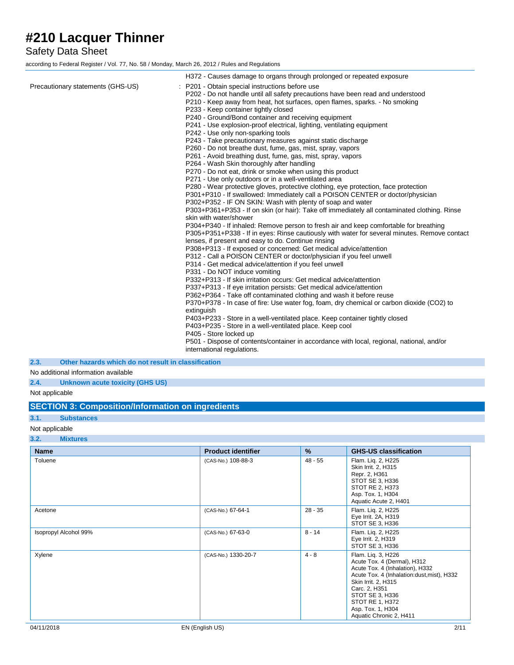## Safety Data Sheet

according to Federal Register / Vol. 77, No. 58 / Monday, March 26, 2012 / Rules and Regulations

|                                   | H372 - Causes damage to organs through prolonged or repeated exposure                                                                                                                                                                                                                                                                                                                                                                                                                                                                                                                                                                                                                                                                                                                                                                                                                                                                                                                                                                                                                                                                                                                                                                                                                                                                                                                                                                                                                                                                                                                                                                                                                                                                                                                                                                                                                                                                                                       |
|-----------------------------------|-----------------------------------------------------------------------------------------------------------------------------------------------------------------------------------------------------------------------------------------------------------------------------------------------------------------------------------------------------------------------------------------------------------------------------------------------------------------------------------------------------------------------------------------------------------------------------------------------------------------------------------------------------------------------------------------------------------------------------------------------------------------------------------------------------------------------------------------------------------------------------------------------------------------------------------------------------------------------------------------------------------------------------------------------------------------------------------------------------------------------------------------------------------------------------------------------------------------------------------------------------------------------------------------------------------------------------------------------------------------------------------------------------------------------------------------------------------------------------------------------------------------------------------------------------------------------------------------------------------------------------------------------------------------------------------------------------------------------------------------------------------------------------------------------------------------------------------------------------------------------------------------------------------------------------------------------------------------------------|
| Precautionary statements (GHS-US) | : P201 - Obtain special instructions before use<br>P202 - Do not handle until all safety precautions have been read and understood<br>P210 - Keep away from heat, hot surfaces, open flames, sparks. - No smoking<br>P233 - Keep container tightly closed<br>P240 - Ground/Bond container and receiving equipment<br>P241 - Use explosion-proof electrical, lighting, ventilating equipment<br>P242 - Use only non-sparking tools<br>P243 - Take precautionary measures against static discharge<br>P260 - Do not breathe dust, fume, gas, mist, spray, vapors<br>P261 - Avoid breathing dust, fume, gas, mist, spray, vapors<br>P264 - Wash Skin thoroughly after handling<br>P270 - Do not eat, drink or smoke when using this product<br>P271 - Use only outdoors or in a well-ventilated area<br>P280 - Wear protective gloves, protective clothing, eye protection, face protection<br>P301+P310 - If swallowed: Immediately call a POISON CENTER or doctor/physician<br>P302+P352 - IF ON SKIN: Wash with plenty of soap and water<br>P303+P361+P353 - If on skin (or hair): Take off immediately all contaminated clothing. Rinse<br>skin with water/shower<br>P304+P340 - If inhaled: Remove person to fresh air and keep comfortable for breathing<br>P305+P351+P338 - If in eyes: Rinse cautiously with water for several minutes. Remove contact<br>lenses, if present and easy to do. Continue rinsing<br>P308+P313 - If exposed or concerned: Get medical advice/attention<br>P312 - Call a POISON CENTER or doctor/physician if you feel unwell<br>P314 - Get medical advice/attention if you feel unwell<br>P331 - Do NOT induce vomiting<br>P332+P313 - If skin irritation occurs: Get medical advice/attention<br>P337+P313 - If eye irritation persists: Get medical advice/attention<br>P362+P364 - Take off contaminated clothing and wash it before reuse<br>P370+P378 - In case of fire: Use water fog, foam, dry chemical or carbon dioxide (CO2) to |
|                                   | extinguish                                                                                                                                                                                                                                                                                                                                                                                                                                                                                                                                                                                                                                                                                                                                                                                                                                                                                                                                                                                                                                                                                                                                                                                                                                                                                                                                                                                                                                                                                                                                                                                                                                                                                                                                                                                                                                                                                                                                                                  |
|                                   | P403+P233 - Store in a well-ventilated place. Keep container tightly closed<br>P403+P235 - Store in a well-ventilated place. Keep cool                                                                                                                                                                                                                                                                                                                                                                                                                                                                                                                                                                                                                                                                                                                                                                                                                                                                                                                                                                                                                                                                                                                                                                                                                                                                                                                                                                                                                                                                                                                                                                                                                                                                                                                                                                                                                                      |
|                                   | P405 - Store locked up<br>P501 - Dispose of contents/container in accordance with local, regional, national, and/or<br>international regulations.                                                                                                                                                                                                                                                                                                                                                                                                                                                                                                                                                                                                                                                                                                                                                                                                                                                                                                                                                                                                                                                                                                                                                                                                                                                                                                                                                                                                                                                                                                                                                                                                                                                                                                                                                                                                                           |

**2.3. Other hazards which do not result in classification**

### No additional information available

### **2.4. Unknown acute toxicity (GHS US)**

Not applicable

### **SECTION 3: Composition/Information on ingredients**

#### **3.1. Substances**

Not applicable

### **3.2. Mixtures**

| <b>Name</b>           | <b>Product identifier</b> | $\%$      | <b>GHS-US classification</b>                                                                                                                                                                                                                                     |
|-----------------------|---------------------------|-----------|------------------------------------------------------------------------------------------------------------------------------------------------------------------------------------------------------------------------------------------------------------------|
| Toluene               | (CAS-No.) 108-88-3        | $48 - 55$ | Flam. Lig. 2, H225<br>Skin Irrit. 2, H315<br>Repr. 2, H361<br>STOT SE 3, H336<br>STOT RE 2, H373<br>Asp. Tox. 1, H304<br>Aquatic Acute 2, H401                                                                                                                   |
| Acetone               | (CAS-No.) 67-64-1         | $28 - 35$ | Flam. Lig. 2, H225<br>Eye Irrit. 2A, H319<br>STOT SE 3, H336                                                                                                                                                                                                     |
| Isopropyl Alcohol 99% | (CAS-No.) 67-63-0         | $8 - 14$  | Flam. Lig. 2, H225<br>Eye Irrit. 2, H319<br>STOT SE 3, H336                                                                                                                                                                                                      |
| Xylene                | (CAS-No.) 1330-20-7       | $4 - 8$   | Flam. Lig. 3, H226<br>Acute Tox. 4 (Dermal), H312<br>Acute Tox. 4 (Inhalation), H332<br>Acute Tox. 4 (Inhalation:dust, mist), H332<br>Skin Irrit. 2, H315<br>Carc. 2, H351<br>STOT SE 3, H336<br>STOT RE 1, H372<br>Asp. Tox. 1, H304<br>Aquatic Chronic 2, H411 |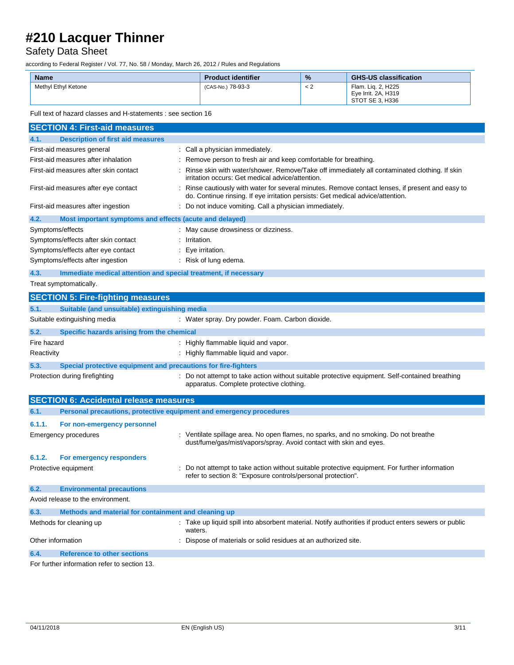# Safety Data Sheet

according to Federal Register / Vol. 77, No. 58 / Monday, March 26, 2012 / Rules and Regulations

| <b>Name</b>         | <b>Product identifier</b> | $\frac{9}{6}$ | <b>GHS-US classification</b>                                 |
|---------------------|---------------------------|---------------|--------------------------------------------------------------|
| Methyl Ethyl Ketone | (CAS-No.) 78-93-3         | < 2           | Flam. Lig. 2, H225<br>Eye Irrit. 2A, H319<br>STOT SE 3. H336 |

Full text of hazard classes and H-statements : see section 16

| <b>SECTION 4: First-aid measures</b>                                    |                                                                                                                                                                                     |
|-------------------------------------------------------------------------|-------------------------------------------------------------------------------------------------------------------------------------------------------------------------------------|
| 4.1.<br><b>Description of first aid measures</b>                        |                                                                                                                                                                                     |
| First-aid measures general                                              | : Call a physician immediately.                                                                                                                                                     |
| First-aid measures after inhalation                                     | Remove person to fresh air and keep comfortable for breathing.                                                                                                                      |
| First-aid measures after skin contact                                   | Rinse skin with water/shower. Remove/Take off immediately all contaminated clothing. If skin<br>irritation occurs: Get medical advice/attention.                                    |
| First-aid measures after eye contact                                    | : Rinse cautiously with water for several minutes. Remove contact lenses, if present and easy to<br>do. Continue rinsing. If eye irritation persists: Get medical advice/attention. |
| First-aid measures after ingestion                                      | : Do not induce vomiting. Call a physician immediately.                                                                                                                             |
| 4.2.<br>Most important symptoms and effects (acute and delayed)         |                                                                                                                                                                                     |
| Symptoms/effects                                                        | : May cause drowsiness or dizziness.                                                                                                                                                |
| Symptoms/effects after skin contact                                     | : Irritation.                                                                                                                                                                       |
| Symptoms/effects after eye contact                                      | : Eye irritation.                                                                                                                                                                   |
| Symptoms/effects after ingestion                                        | : Risk of lung edema.                                                                                                                                                               |
| 4.3.<br>Immediate medical attention and special treatment, if necessary |                                                                                                                                                                                     |
| Treat symptomatically.                                                  |                                                                                                                                                                                     |
| <b>SECTION 5: Fire-fighting measures</b>                                |                                                                                                                                                                                     |
| 5.1.<br>Suitable (and unsuitable) extinguishing media                   |                                                                                                                                                                                     |
| Suitable extinguishing media                                            | : Water spray. Dry powder. Foam. Carbon dioxide.                                                                                                                                    |
| 5.2.<br>Specific hazards arising from the chemical                      |                                                                                                                                                                                     |
| Fire hazard                                                             | : Highly flammable liquid and vapor.                                                                                                                                                |
| Reactivity                                                              | . Highly flammable liquid and vapor.                                                                                                                                                |
| 5.3.<br>Special protective equipment and precautions for fire-fighters  |                                                                                                                                                                                     |
| Protection during firefighting                                          | : Do not attempt to take action without suitable protective equipment. Self-contained breathing<br>apparatus. Complete protective clothing.                                         |
| <b>SECTION 6: Accidental release measures</b>                           |                                                                                                                                                                                     |
| 6.1.                                                                    | Personal precautions, protective equipment and emergency procedures                                                                                                                 |
| 6.1.1.                                                                  |                                                                                                                                                                                     |
| For non-emergency personnel<br><b>Emergency procedures</b>              | : Ventilate spillage area. No open flames, no sparks, and no smoking. Do not breathe                                                                                                |
|                                                                         | dust/fume/gas/mist/vapors/spray. Avoid contact with skin and eyes.                                                                                                                  |
| 6.1.2.<br>For emergency responders                                      |                                                                                                                                                                                     |
| Protective equipment                                                    | Do not attempt to take action without suitable protective equipment. For further information<br>refer to section 8: "Exposure controls/personal protection".                        |
| 6.2.<br><b>Environmental precautions</b>                                |                                                                                                                                                                                     |
| Avoid release to the environment.                                       |                                                                                                                                                                                     |
| 6.3.<br>Methods and material for containment and cleaning up            |                                                                                                                                                                                     |
| Methods for cleaning up                                                 | Take up liquid spill into absorbent material. Notify authorities if product enters sewers or public<br>waters.                                                                      |
| Other information                                                       | : Dispose of materials or solid residues at an authorized site.                                                                                                                     |
| 6.4.<br><b>Reference to other sections</b>                              |                                                                                                                                                                                     |
| For further information refer to section 13.                            |                                                                                                                                                                                     |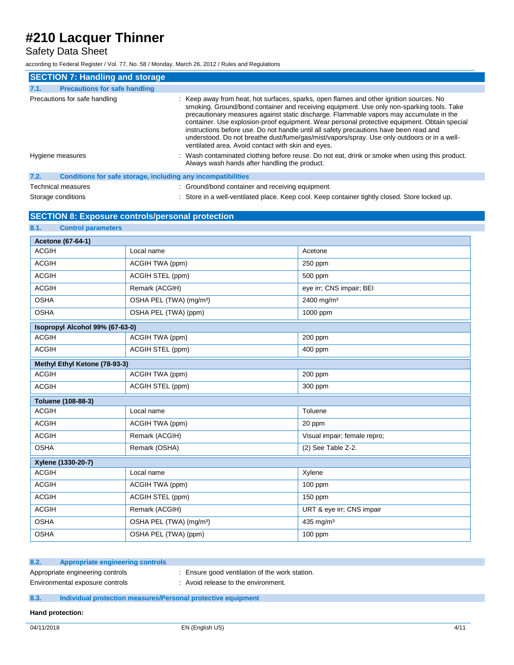Safety Data Sheet

according to Federal Register / Vol. 77, No. 58 / Monday, March 26, 2012 / Rules and Regulations

| <b>SECTION 7: Handling and storage</b>                               |                                                                                                                                                                                                                                                                                                                                                                                                                                                                                                                                                                                                                                |
|----------------------------------------------------------------------|--------------------------------------------------------------------------------------------------------------------------------------------------------------------------------------------------------------------------------------------------------------------------------------------------------------------------------------------------------------------------------------------------------------------------------------------------------------------------------------------------------------------------------------------------------------------------------------------------------------------------------|
| <b>Precautions for safe handling</b><br>7.1.                         |                                                                                                                                                                                                                                                                                                                                                                                                                                                                                                                                                                                                                                |
| Precautions for safe handling                                        | : Keep away from heat, hot surfaces, sparks, open flames and other ignition sources. No<br>smoking. Ground/bond container and receiving equipment. Use only non-sparking tools. Take<br>precautionary measures against static discharge. Flammable vapors may accumulate in the<br>container. Use explosion-proof equipment. Wear personal protective equipment. Obtain special<br>instructions before use. Do not handle until all safety precautions have been read and<br>understood. Do not breathe dust/fume/gas/mist/vapors/spray. Use only outdoors or in a well-<br>ventilated area. Avoid contact with skin and eyes. |
| Hygiene measures                                                     | : Wash contaminated clothing before reuse. Do not eat, drink or smoke when using this product.<br>Always wash hands after handling the product.                                                                                                                                                                                                                                                                                                                                                                                                                                                                                |
| 7.2.<br>Conditions for safe storage, including any incompatibilities |                                                                                                                                                                                                                                                                                                                                                                                                                                                                                                                                                                                                                                |
| <b>Technical measures</b>                                            | : Ground/bond container and receiving equipment.                                                                                                                                                                                                                                                                                                                                                                                                                                                                                                                                                                               |

Storage conditions **in a well-ventilated place.** Keep cool. Keep container tightly closed. Store locked up.

## **SECTION 8: Exposure controls/personal protection**

| 8.1.<br><b>Control parameters</b> |                                     |                              |  |
|-----------------------------------|-------------------------------------|------------------------------|--|
| <b>Acetone (67-64-1)</b>          |                                     |                              |  |
| <b>ACGIH</b>                      | Local name                          | Acetone                      |  |
| <b>ACGIH</b>                      | ACGIH TWA (ppm)                     | 250 ppm                      |  |
| <b>ACGIH</b>                      | ACGIH STEL (ppm)                    | 500 ppm                      |  |
| <b>ACGIH</b>                      | Remark (ACGIH)                      | eye irr; CNS impair; BEI     |  |
| <b>OSHA</b>                       | OSHA PEL (TWA) (mg/m <sup>3</sup> ) | 2400 mg/m <sup>3</sup>       |  |
| <b>OSHA</b>                       | OSHA PEL (TWA) (ppm)                | 1000 ppm                     |  |
| Isopropyl Alcohol 99% (67-63-0)   |                                     |                              |  |
| <b>ACGIH</b>                      | ACGIH TWA (ppm)                     | $200$ ppm                    |  |
| <b>ACGIH</b>                      | ACGIH STEL (ppm)                    | 400 ppm                      |  |
| Methyl Ethyl Ketone (78-93-3)     |                                     |                              |  |
| <b>ACGIH</b>                      | ACGIH TWA (ppm)                     | 200 ppm                      |  |
| <b>ACGIH</b>                      | ACGIH STEL (ppm)                    | 300 ppm                      |  |
| Toluene (108-88-3)                |                                     |                              |  |
| <b>ACGIH</b>                      | Local name                          | Toluene                      |  |
| <b>ACGIH</b>                      | ACGIH TWA (ppm)                     | 20 ppm                       |  |
| <b>ACGIH</b>                      | Remark (ACGIH)                      | Visual impair; female repro; |  |
| <b>OSHA</b>                       | Remark (OSHA)                       | (2) See Table Z-2.           |  |
| Xylene (1330-20-7)                |                                     |                              |  |
| <b>ACGIH</b>                      | Local name                          | Xylene                       |  |
| <b>ACGIH</b>                      | ACGIH TWA (ppm)                     | $100$ ppm                    |  |
| <b>ACGIH</b>                      | ACGIH STEL (ppm)                    | $150$ ppm                    |  |
| <b>ACGIH</b>                      | Remark (ACGIH)                      | URT & eye irr; CNS impair    |  |
| <b>OSHA</b>                       | OSHA PEL (TWA) (mg/m <sup>3</sup> ) | 435 mg/m <sup>3</sup>        |  |
| <b>OSHA</b>                       | OSHA PEL (TWA) (ppm)                | $100$ ppm                    |  |

#### **8.2. Appropriate engineering controls**

- 
- Appropriate engineering controls : Ensure good ventilation of the work station.
- 
- Environmental exposure controls : Avoid release to the environment.

### **8.3. Individual protection measures/Personal protective equipment**

**Hand protection:**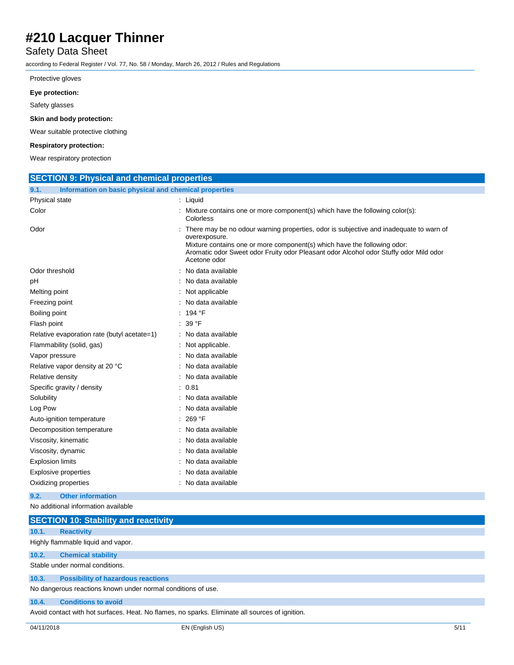## Safety Data Sheet

according to Federal Register / Vol. 77, No. 58 / Monday, March 26, 2012 / Rules and Regulations

### Protective gloves

#### **Eye protection:**

Safety glasses

#### **Skin and body protection:**

Wear suitable protective clothing

#### **Respiratory protection:**

Wear respiratory protection

| <b>SECTION 9: Physical and chemical properties</b>            |                                                                                                                                                                                                                                                                                              |  |
|---------------------------------------------------------------|----------------------------------------------------------------------------------------------------------------------------------------------------------------------------------------------------------------------------------------------------------------------------------------------|--|
| Information on basic physical and chemical properties<br>9.1. |                                                                                                                                                                                                                                                                                              |  |
| Physical state                                                | : Liquid                                                                                                                                                                                                                                                                                     |  |
| Color                                                         | : Mixture contains one or more component(s) which have the following color(s):<br>Colorless                                                                                                                                                                                                  |  |
| Odor                                                          | There may be no odour warning properties, odor is subjective and inadequate to warn of<br>overexposure.<br>Mixture contains one or more component(s) which have the following odor:<br>Aromatic odor Sweet odor Fruity odor Pleasant odor Alcohol odor Stuffy odor Mild odor<br>Acetone odor |  |
| Odor threshold                                                | : No data available                                                                                                                                                                                                                                                                          |  |
| рH                                                            | : No data available                                                                                                                                                                                                                                                                          |  |
| Melting point                                                 | : Not applicable                                                                                                                                                                                                                                                                             |  |
| Freezing point                                                | : No data available                                                                                                                                                                                                                                                                          |  |
| Boiling point                                                 | : 194 °F                                                                                                                                                                                                                                                                                     |  |
| Flash point                                                   | : 39 °F                                                                                                                                                                                                                                                                                      |  |
| Relative evaporation rate (butyl acetate=1)                   | : No data available                                                                                                                                                                                                                                                                          |  |
| Flammability (solid, gas)                                     | : Not applicable.                                                                                                                                                                                                                                                                            |  |
| Vapor pressure                                                | : No data available                                                                                                                                                                                                                                                                          |  |
| Relative vapor density at 20 °C                               | No data available                                                                                                                                                                                                                                                                            |  |
| Relative density                                              | : No data available                                                                                                                                                                                                                                                                          |  |
| Specific gravity / density                                    | : 0.81                                                                                                                                                                                                                                                                                       |  |
| Solubility                                                    | : No data available                                                                                                                                                                                                                                                                          |  |
| Log Pow                                                       | : No data available                                                                                                                                                                                                                                                                          |  |
| Auto-ignition temperature                                     | 269 °F                                                                                                                                                                                                                                                                                       |  |
| Decomposition temperature                                     | : No data available                                                                                                                                                                                                                                                                          |  |
| Viscosity, kinematic                                          | No data available                                                                                                                                                                                                                                                                            |  |
| Viscosity, dynamic                                            | : No data available                                                                                                                                                                                                                                                                          |  |
| <b>Explosion limits</b>                                       | : No data available                                                                                                                                                                                                                                                                          |  |
| <b>Explosive properties</b>                                   | No data available                                                                                                                                                                                                                                                                            |  |
| Oxidizing properties                                          | : No data available                                                                                                                                                                                                                                                                          |  |
| <b>Other information</b><br>9.2.                              |                                                                                                                                                                                                                                                                                              |  |
| No additional information available                           |                                                                                                                                                                                                                                                                                              |  |
| <b>SECTION 10: Stability and reactivity</b>                   |                                                                                                                                                                                                                                                                                              |  |
| 10.1.<br><b>Reactivity</b>                                    |                                                                                                                                                                                                                                                                                              |  |

Highly flammable liquid and vapor.

**10.2. Chemical stability**

Stable under normal conditions.

#### **10.3. Possibility of hazardous reactions**

No dangerous reactions known under normal conditions of use.

#### **10.4. Conditions to avoid**

Avoid contact with hot surfaces. Heat. No flames, no sparks. Eliminate all sources of ignition.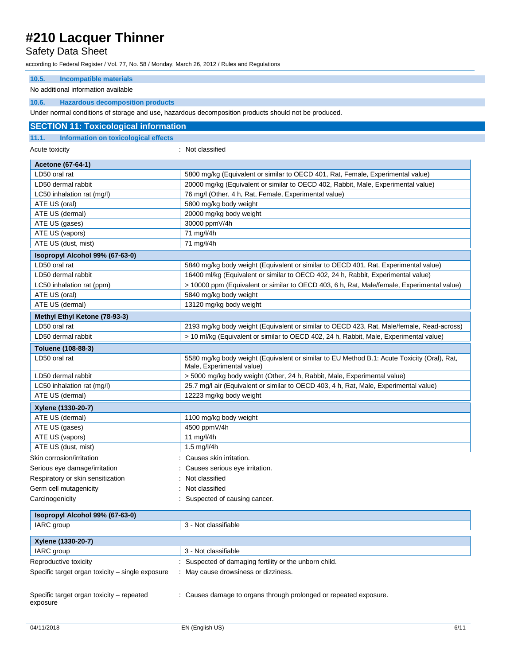## Safety Data Sheet

according to Federal Register / Vol. 77, No. 58 / Monday, March 26, 2012 / Rules and Regulations

## **10.5. Incompatible materials**

#### No additional information available

#### **10.6. Hazardous decomposition products**

Under normal conditions of storage and use, hazardous decomposition products should not be produced.

| <b>SECTION 11: Toxicological information</b>          |                                                                                                                          |  |
|-------------------------------------------------------|--------------------------------------------------------------------------------------------------------------------------|--|
| 11.1.<br>Information on toxicological effects         |                                                                                                                          |  |
| Acute toxicity                                        | : Not classified                                                                                                         |  |
| <b>Acetone (67-64-1)</b>                              |                                                                                                                          |  |
| LD50 oral rat                                         | 5800 mg/kg (Equivalent or similar to OECD 401, Rat, Female, Experimental value)                                          |  |
| LD50 dermal rabbit                                    | 20000 mg/kg (Equivalent or similar to OECD 402, Rabbit, Male, Experimental value)                                        |  |
| LC50 inhalation rat (mg/l)                            | 76 mg/l (Other, 4 h, Rat, Female, Experimental value)                                                                    |  |
| ATE US (oral)                                         | 5800 mg/kg body weight                                                                                                   |  |
| ATE US (dermal)                                       | 20000 mg/kg body weight                                                                                                  |  |
| ATE US (gases)                                        | 30000 ppmV/4h                                                                                                            |  |
| ATE US (vapors)                                       | 71 mg/l/4h                                                                                                               |  |
| ATE US (dust, mist)                                   | 71 mg/l/4h                                                                                                               |  |
| Isopropyl Alcohol 99% (67-63-0)                       |                                                                                                                          |  |
| LD50 oral rat                                         | 5840 mg/kg body weight (Equivalent or similar to OECD 401, Rat, Experimental value)                                      |  |
| LD50 dermal rabbit                                    | 16400 ml/kg (Equivalent or similar to OECD 402, 24 h, Rabbit, Experimental value)                                        |  |
| LC50 inhalation rat (ppm)                             | > 10000 ppm (Equivalent or similar to OECD 403, 6 h, Rat, Male/female, Experimental value)                               |  |
| ATE US (oral)                                         | 5840 mg/kg body weight                                                                                                   |  |
| ATE US (dermal)                                       | 13120 mg/kg body weight                                                                                                  |  |
| Methyl Ethyl Ketone (78-93-3)                         |                                                                                                                          |  |
| LD50 oral rat                                         | 2193 mg/kg body weight (Equivalent or similar to OECD 423, Rat, Male/female, Read-across)                                |  |
| LD50 dermal rabbit                                    | > 10 ml/kg (Equivalent or similar to OECD 402, 24 h, Rabbit, Male, Experimental value)                                   |  |
| Toluene (108-88-3)                                    |                                                                                                                          |  |
| LD50 oral rat                                         | 5580 mg/kg body weight (Equivalent or similar to EU Method B.1: Acute Toxicity (Oral), Rat,<br>Male, Experimental value) |  |
| LD50 dermal rabbit                                    | > 5000 mg/kg body weight (Other, 24 h, Rabbit, Male, Experimental value)                                                 |  |
| LC50 inhalation rat (mg/l)                            | 25.7 mg/l air (Equivalent or similar to OECD 403, 4 h, Rat, Male, Experimental value)                                    |  |
| ATE US (dermal)                                       | 12223 mg/kg body weight                                                                                                  |  |
| Xylene (1330-20-7)                                    |                                                                                                                          |  |
| ATE US (dermal)                                       | 1100 mg/kg body weight                                                                                                   |  |
| ATE US (gases)                                        | 4500 ppmV/4h                                                                                                             |  |
| ATE US (vapors)                                       | 11 mg/l/4h                                                                                                               |  |
| ATE US (dust, mist)                                   | $1.5$ mg/l/4h                                                                                                            |  |
| Skin corrosion/irritation                             | : Causes skin irritation.                                                                                                |  |
| Serious eye damage/irritation                         | Causes serious eye irritation.                                                                                           |  |
| Respiratory or skin sensitization                     | Not classified                                                                                                           |  |
| Germ cell mutagenicity                                | Not classified                                                                                                           |  |
| Carcinogenicity                                       | Suspected of causing cancer.                                                                                             |  |
| Isopropyl Alcohol 99% (67-63-0)                       |                                                                                                                          |  |
| IARC group                                            | 3 - Not classifiable                                                                                                     |  |
| Xylene (1330-20-7)                                    |                                                                                                                          |  |
| IARC group                                            | 3 - Not classifiable                                                                                                     |  |
| Reproductive toxicity                                 | Suspected of damaging fertility or the unborn child.                                                                     |  |
| Specific target organ toxicity - single exposure      | : May cause drowsiness or dizziness.                                                                                     |  |
| Specific target organ toxicity - repeated<br>exposure | : Causes damage to organs through prolonged or repeated exposure.                                                        |  |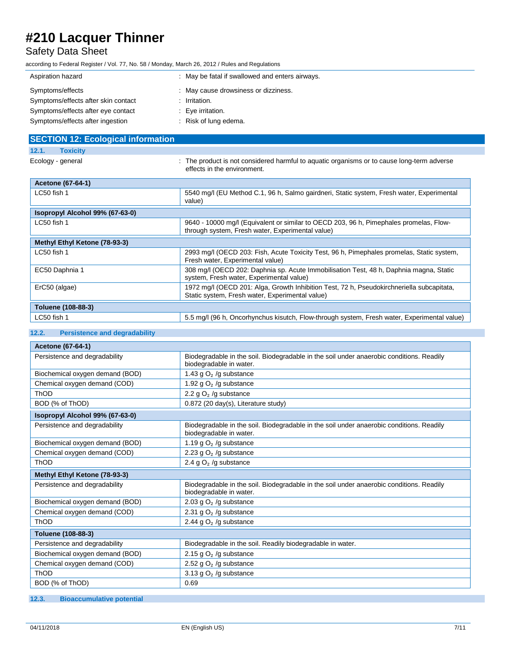# Safety Data Sheet

according to Federal Register / Vol. 77, No. 58 / Monday, March 26, 2012 / Rules and Regulations

| Aspiration hazard                   | : May be fatal if swallowed and enters airways. |
|-------------------------------------|-------------------------------------------------|
| Symptoms/effects                    | : May cause drowsiness or dizziness.            |
| Symptoms/effects after skin contact | Irritation.                                     |
| Symptoms/effects after eye contact  | : Eye irritation.                               |
| Symptoms/effects after ingestion    | Risk of lung edema.                             |

| <b>SECTION 12: Ecological information</b> |                                                                                                                                              |
|-------------------------------------------|----------------------------------------------------------------------------------------------------------------------------------------------|
| <b>Toxicity</b><br>12.1.                  |                                                                                                                                              |
| Ecology - general                         | : The product is not considered harmful to aguatic organisms or to cause long-term adverse<br>effects in the environment.                    |
| <b>Acetone (67-64-1)</b>                  |                                                                                                                                              |
| LC50 fish 1                               | 5540 mg/l (EU Method C.1, 96 h, Salmo gairdneri, Static system, Fresh water, Experimental<br>value)                                          |
| Isopropyl Alcohol 99% (67-63-0)           |                                                                                                                                              |
| LC50 fish 1                               | 9640 - 10000 mg/l (Equivalent or similar to OECD 203, 96 h, Pimephales promelas, Flow-<br>through system, Fresh water, Experimental value)   |
| Methyl Ethyl Ketone (78-93-3)             |                                                                                                                                              |
| LC50 fish 1                               | 2993 mg/l (OECD 203: Fish, Acute Toxicity Test, 96 h, Pimephales promelas, Static system,<br>Fresh water, Experimental value)                |
| EC50 Daphnia 1                            | 308 mg/l (OECD 202: Daphnia sp. Acute Immobilisation Test, 48 h, Daphnia magna, Static<br>system, Fresh water, Experimental value)           |
| ErC50 (algae)                             | 1972 mg/l (OECD 201: Alga, Growth Inhibition Test, 72 h, Pseudokirchneriella subcapitata,<br>Static system, Fresh water, Experimental value) |
| Toluene (108-88-3)                        |                                                                                                                                              |
| LC50 fish 1                               | 5.5 mg/l (96 h, Oncorhynchus kisutch, Flow-through system, Fresh water, Experimental value)                                                  |

### **12.2. Persistence and degradability**

| <b>Acetone (67-64-1)</b>        |                                                                                                                     |  |
|---------------------------------|---------------------------------------------------------------------------------------------------------------------|--|
| Persistence and degradability   | Biodegradable in the soil. Biodegradable in the soil under anaerobic conditions. Readily<br>biodegradable in water. |  |
| Biochemical oxygen demand (BOD) | 1.43 g $O2$ /g substance                                                                                            |  |
| Chemical oxygen demand (COD)    | 1.92 g $O2$ /g substance                                                                                            |  |
| ThOD                            | 2.2 g $O2$ /g substance                                                                                             |  |
| BOD (% of ThOD)                 | 0.872 (20 day(s), Literature study)                                                                                 |  |
| Isopropyl Alcohol 99% (67-63-0) |                                                                                                                     |  |
| Persistence and degradability   | Biodegradable in the soil. Biodegradable in the soil under anaerobic conditions. Readily<br>biodegradable in water. |  |
| Biochemical oxygen demand (BOD) | 1.19 g $O2$ /g substance                                                                                            |  |
| Chemical oxygen demand (COD)    | 2.23 g $O2$ /g substance                                                                                            |  |
| <b>ThOD</b>                     | 2.4 g $O2$ /g substance                                                                                             |  |
| Methyl Ethyl Ketone (78-93-3)   |                                                                                                                     |  |
| Persistence and degradability   | Biodegradable in the soil. Biodegradable in the soil under anaerobic conditions. Readily<br>biodegradable in water. |  |
| Biochemical oxygen demand (BOD) | 2.03 g $O2$ /g substance                                                                                            |  |
| Chemical oxygen demand (COD)    | 2.31 g $O2$ /g substance                                                                                            |  |
| ThOD                            | 2.44 g $O2$ /g substance                                                                                            |  |
| Toluene (108-88-3)              |                                                                                                                     |  |
| Persistence and degradability   | Biodegradable in the soil. Readily biodegradable in water.                                                          |  |
| Biochemical oxygen demand (BOD) | 2.15 g $O2$ /g substance                                                                                            |  |
| Chemical oxygen demand (COD)    | 2.52 g $O2$ /g substance                                                                                            |  |
| ThOD                            | 3.13 g $O2$ /g substance                                                                                            |  |
| BOD (% of ThOD)                 | 0.69                                                                                                                |  |

### **12.3. Bioaccumulative potential**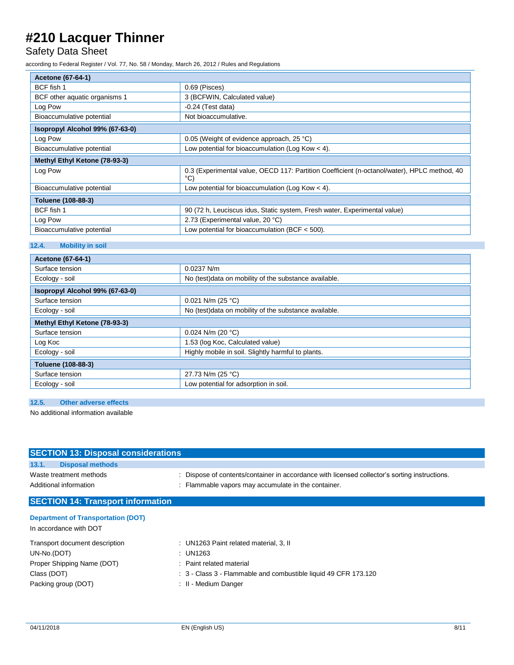# Safety Data Sheet

according to Federal Register / Vol. 77, No. 58 / Monday, March 26, 2012 / Rules and Regulations

| Acetone (67-64-1)               |                                                                                                              |  |  |  |
|---------------------------------|--------------------------------------------------------------------------------------------------------------|--|--|--|
| BCF fish 1                      | $0.69$ (Pisces)                                                                                              |  |  |  |
| BCF other aquatic organisms 1   | 3 (BCFWIN, Calculated value)                                                                                 |  |  |  |
| Log Pow                         | $-0.24$ (Test data)                                                                                          |  |  |  |
| Bioaccumulative potential       | Not bioaccumulative.                                                                                         |  |  |  |
| Isopropyl Alcohol 99% (67-63-0) |                                                                                                              |  |  |  |
| Log Pow                         | 0.05 (Weight of evidence approach, 25 °C)                                                                    |  |  |  |
| Bioaccumulative potential       | Low potential for bioaccumulation (Log Kow $<$ 4).                                                           |  |  |  |
| Methyl Ethyl Ketone (78-93-3)   |                                                                                                              |  |  |  |
| Log Pow                         | 0.3 (Experimental value, OECD 117: Partition Coefficient (n-octanol/water), HPLC method, 40<br>$^{\circ}$ C) |  |  |  |
| Bioaccumulative potential       | Low potential for bioaccumulation (Log Kow $<$ 4).                                                           |  |  |  |
| Toluene (108-88-3)              |                                                                                                              |  |  |  |
| BCF fish 1                      | 90 (72 h, Leuciscus idus, Static system, Fresh water, Experimental value)                                    |  |  |  |
| Log Pow                         | 2.73 (Experimental value, 20 °C)                                                                             |  |  |  |
| Bioaccumulative potential       | Low potential for bioaccumulation (BCF $<$ 500).                                                             |  |  |  |

### **12.4. Mobility in soil**

| <b>Acetone (67-64-1)</b>        |                                                        |  |  |  |
|---------------------------------|--------------------------------------------------------|--|--|--|
| Surface tension                 | $0.0237$ N/m                                           |  |  |  |
| Ecology - soil                  | No (test) data on mobility of the substance available. |  |  |  |
| Isopropyl Alcohol 99% (67-63-0) |                                                        |  |  |  |
| Surface tension                 | $0.021$ N/m (25 °C)                                    |  |  |  |
| Ecology - soil                  | No (test) data on mobility of the substance available. |  |  |  |
| Methyl Ethyl Ketone (78-93-3)   |                                                        |  |  |  |
| Surface tension                 | 0.024 N/m (20 $°C$ )                                   |  |  |  |
| Log Koc                         | 1.53 (log Koc, Calculated value)                       |  |  |  |
| Ecology - soil                  | Highly mobile in soil. Slightly harmful to plants.     |  |  |  |
| <b>Toluene (108-88-3)</b>       |                                                        |  |  |  |
| Surface tension                 | 27.73 N/m (25 °C)                                      |  |  |  |
| Ecology - soil                  | Low potential for adsorption in soil.                  |  |  |  |

### **12.5. Other adverse effects**

No additional information available

| <b>SECTION 13: Disposal considerations</b> |                                                                                               |
|--------------------------------------------|-----------------------------------------------------------------------------------------------|
| 13.1.<br><b>Disposal methods</b>           |                                                                                               |
| Waste treatment methods                    | : Dispose of contents/container in accordance with licensed collector's sorting instructions. |
| Additional information                     | : Flammable vapors may accumulate in the container.                                           |
| <b>SECTION 14: Transport information</b>   |                                                                                               |
| <b>Department of Transportation (DOT)</b>  |                                                                                               |
| In accordance with DOT                     |                                                                                               |

| Transport document description | : UN1263 Paint related material, 3, II                          |
|--------------------------------|-----------------------------------------------------------------|
| UN-No.(DOT)                    | : UN1263                                                        |
| Proper Shipping Name (DOT)     | : Paint related material                                        |
| Class (DOT)                    | : 3 - Class 3 - Flammable and combustible liquid 49 CFR 173.120 |
| Packing group (DOT)            | : II - Medium Danger                                            |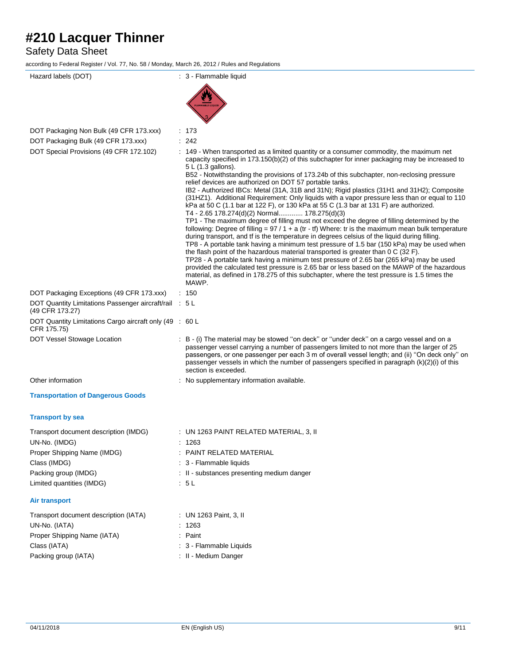# Safety Data Sheet

according to Federal Register / Vol. 77, No. 58 / Monday, March 26, 2012 / Rules and Regulations

| Hazard labels (DOT)                                                                                                    | : 3 - Flammable liquid                                                                                                                                                                                                                                                                                                                                                                                                                                                                                                                                                                                                                                                                                                                                                                                                                                                                                                                                                                                                                                                                                                                                                                                                                                                                                         |
|------------------------------------------------------------------------------------------------------------------------|----------------------------------------------------------------------------------------------------------------------------------------------------------------------------------------------------------------------------------------------------------------------------------------------------------------------------------------------------------------------------------------------------------------------------------------------------------------------------------------------------------------------------------------------------------------------------------------------------------------------------------------------------------------------------------------------------------------------------------------------------------------------------------------------------------------------------------------------------------------------------------------------------------------------------------------------------------------------------------------------------------------------------------------------------------------------------------------------------------------------------------------------------------------------------------------------------------------------------------------------------------------------------------------------------------------|
|                                                                                                                        |                                                                                                                                                                                                                                                                                                                                                                                                                                                                                                                                                                                                                                                                                                                                                                                                                                                                                                                                                                                                                                                                                                                                                                                                                                                                                                                |
|                                                                                                                        | <b>MABLE LIOU</b>                                                                                                                                                                                                                                                                                                                                                                                                                                                                                                                                                                                                                                                                                                                                                                                                                                                                                                                                                                                                                                                                                                                                                                                                                                                                                              |
|                                                                                                                        |                                                                                                                                                                                                                                                                                                                                                                                                                                                                                                                                                                                                                                                                                                                                                                                                                                                                                                                                                                                                                                                                                                                                                                                                                                                                                                                |
| DOT Packaging Non Bulk (49 CFR 173.xxx)<br>DOT Packaging Bulk (49 CFR 173.xxx)                                         | : 173<br>: 242                                                                                                                                                                                                                                                                                                                                                                                                                                                                                                                                                                                                                                                                                                                                                                                                                                                                                                                                                                                                                                                                                                                                                                                                                                                                                                 |
| DOT Special Provisions (49 CFR 172.102)                                                                                | : 149 - When transported as a limited quantity or a consumer commodity, the maximum net<br>capacity specified in 173.150(b)(2) of this subchapter for inner packaging may be increased to<br>5 L (1.3 gallons).                                                                                                                                                                                                                                                                                                                                                                                                                                                                                                                                                                                                                                                                                                                                                                                                                                                                                                                                                                                                                                                                                                |
| DOT Packaging Exceptions (49 CFR 173.xxx)<br>DOT Quantity Limitations Passenger aircraft/rail : 5 L<br>(49 CFR 173.27) | B52 - Notwithstanding the provisions of 173.24b of this subchapter, non-reclosing pressure<br>relief devices are authorized on DOT 57 portable tanks.<br>IB2 - Authorized IBCs: Metal (31A, 31B and 31N); Rigid plastics (31H1 and 31H2); Composite<br>(31HZ1). Additional Requirement: Only liquids with a vapor pressure less than or equal to 110<br>kPa at 50 C (1.1 bar at 122 F), or 130 kPa at 55 C (1.3 bar at 131 F) are authorized.<br>T4 - 2.65 178.274(d)(2) Normal 178.275(d)(3)<br>TP1 - The maximum degree of filling must not exceed the degree of filling determined by the<br>following: Degree of filling = $97 / 1 + a$ (tr - tf) Where: tr is the maximum mean bulk temperature<br>during transport, and tf is the temperature in degrees celsius of the liquid during filling.<br>TP8 - A portable tank having a minimum test pressure of 1.5 bar (150 kPa) may be used when<br>the flash point of the hazardous material transported is greater than $0 \text{ C}$ (32 F).<br>TP28 - A portable tank having a minimum test pressure of 2.65 bar (265 kPa) may be used<br>provided the calculated test pressure is 2.65 bar or less based on the MAWP of the hazardous<br>material, as defined in 178.275 of this subchapter, where the test pressure is 1.5 times the<br>MAWP.<br>: 150 |
| DOT Quantity Limitations Cargo aircraft only (49 : 60 L<br>CFR 175.75)                                                 |                                                                                                                                                                                                                                                                                                                                                                                                                                                                                                                                                                                                                                                                                                                                                                                                                                                                                                                                                                                                                                                                                                                                                                                                                                                                                                                |
| DOT Vessel Stowage Location                                                                                            | : B - (i) The material may be stowed "on deck" or "under deck" on a cargo vessel and on a<br>passenger vessel carrying a number of passengers limited to not more than the larger of 25<br>passengers, or one passenger per each 3 m of overall vessel length; and (ii) "On deck only" on<br>passenger vessels in which the number of passengers specified in paragraph (k)(2)(i) of this<br>section is exceeded.                                                                                                                                                                                                                                                                                                                                                                                                                                                                                                                                                                                                                                                                                                                                                                                                                                                                                              |
| Other information                                                                                                      | : No supplementary information available.                                                                                                                                                                                                                                                                                                                                                                                                                                                                                                                                                                                                                                                                                                                                                                                                                                                                                                                                                                                                                                                                                                                                                                                                                                                                      |
| <b>Transportation of Dangerous Goods</b>                                                                               |                                                                                                                                                                                                                                                                                                                                                                                                                                                                                                                                                                                                                                                                                                                                                                                                                                                                                                                                                                                                                                                                                                                                                                                                                                                                                                                |
| <b>Transport by sea</b>                                                                                                |                                                                                                                                                                                                                                                                                                                                                                                                                                                                                                                                                                                                                                                                                                                                                                                                                                                                                                                                                                                                                                                                                                                                                                                                                                                                                                                |
| Transport document description (IMDG)<br>UN-No. (IMDG)                                                                 | : UN 1263 PAINT RELATED MATERIAL, 3, II<br>1263                                                                                                                                                                                                                                                                                                                                                                                                                                                                                                                                                                                                                                                                                                                                                                                                                                                                                                                                                                                                                                                                                                                                                                                                                                                                |
| Proper Shipping Name (IMDG)                                                                                            | : PAINT RELATED MATERIAL                                                                                                                                                                                                                                                                                                                                                                                                                                                                                                                                                                                                                                                                                                                                                                                                                                                                                                                                                                                                                                                                                                                                                                                                                                                                                       |
| Class (IMDG)                                                                                                           | : 3 - Flammable liquids                                                                                                                                                                                                                                                                                                                                                                                                                                                                                                                                                                                                                                                                                                                                                                                                                                                                                                                                                                                                                                                                                                                                                                                                                                                                                        |
| Packing group (IMDG)                                                                                                   | : II - substances presenting medium danger                                                                                                                                                                                                                                                                                                                                                                                                                                                                                                                                                                                                                                                                                                                                                                                                                                                                                                                                                                                                                                                                                                                                                                                                                                                                     |
| Limited quantities (IMDG)                                                                                              | : 5L                                                                                                                                                                                                                                                                                                                                                                                                                                                                                                                                                                                                                                                                                                                                                                                                                                                                                                                                                                                                                                                                                                                                                                                                                                                                                                           |
| <b>Air transport</b>                                                                                                   |                                                                                                                                                                                                                                                                                                                                                                                                                                                                                                                                                                                                                                                                                                                                                                                                                                                                                                                                                                                                                                                                                                                                                                                                                                                                                                                |
| Transport document description (IATA)                                                                                  | : UN 1263 Paint, 3, II                                                                                                                                                                                                                                                                                                                                                                                                                                                                                                                                                                                                                                                                                                                                                                                                                                                                                                                                                                                                                                                                                                                                                                                                                                                                                         |
| UN-No. (IATA)                                                                                                          | : 1263                                                                                                                                                                                                                                                                                                                                                                                                                                                                                                                                                                                                                                                                                                                                                                                                                                                                                                                                                                                                                                                                                                                                                                                                                                                                                                         |
| Proper Shipping Name (IATA)                                                                                            | : Paint                                                                                                                                                                                                                                                                                                                                                                                                                                                                                                                                                                                                                                                                                                                                                                                                                                                                                                                                                                                                                                                                                                                                                                                                                                                                                                        |
| Class (IATA)                                                                                                           | : 3 - Flammable Liquids                                                                                                                                                                                                                                                                                                                                                                                                                                                                                                                                                                                                                                                                                                                                                                                                                                                                                                                                                                                                                                                                                                                                                                                                                                                                                        |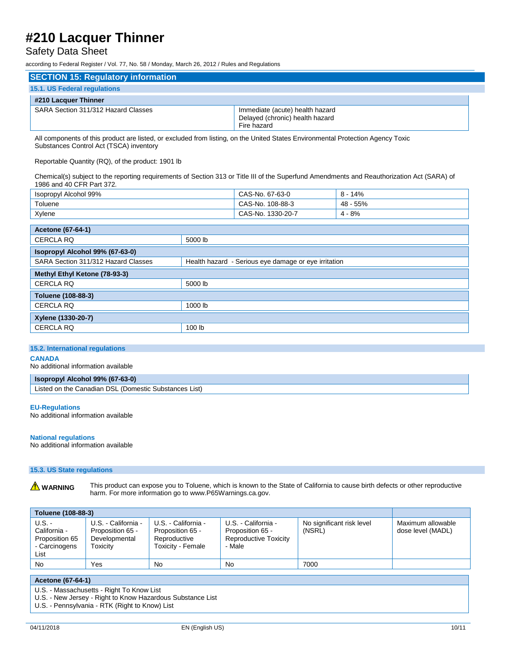## Safety Data Sheet

according to Federal Register / Vol. 77, No. 58 / Monday, March 26, 2012 / Rules and Regulations

| <b>SECTION 15: Regulatory information</b> |                                                                                   |
|-------------------------------------------|-----------------------------------------------------------------------------------|
| 15.1. US Federal regulations              |                                                                                   |
| #210 Lacquer Thinner                      |                                                                                   |
| SARA Section 311/312 Hazard Classes       | Immediate (acute) health hazard<br>Delayed (chronic) health hazard<br>Fire hazard |

All components of this product are listed, or excluded from listing, on the United States Environmental Protection Agency Toxic Substances Control Act (TSCA) inventory

Reportable Quantity (RQ), of the product: 1901 lb

Chemical(s) subject to the reporting requirements of Section 313 or Title III of the Superfund Amendments and Reauthorization Act (SARA) of 1986 and 40 CFR Part 372.

| Isopropyl Alcohol 99% | CAS-No. 67-63-0      | 14%<br>- 8 |
|-----------------------|----------------------|------------|
| Toluene               | 108-88-3<br>CAS-No.  | 55%<br>48  |
| Xylene                | 1330-20-7<br>CAS-No. | $4 - 8%$   |

| <b>Acetone (67-64-1)</b>                                                                    |         |  |
|---------------------------------------------------------------------------------------------|---------|--|
| <b>CERCLA RQ</b><br>5000 lb                                                                 |         |  |
| Isopropyl Alcohol 99% (67-63-0)                                                             |         |  |
| SARA Section 311/312 Hazard Classes<br>Health hazard - Serious eye damage or eye irritation |         |  |
| Methyl Ethyl Ketone (78-93-3)                                                               |         |  |
| <b>CERCLA RQ</b><br>5000 lb                                                                 |         |  |
| Toluene (108-88-3)                                                                          |         |  |
| <b>CERCLA RQ</b>                                                                            | 1000 lb |  |
| Xylene (1330-20-7)                                                                          |         |  |
| <b>CERCLA RQ</b>                                                                            | 100 lb  |  |

#### **15.2. International regulations**

#### **CANADA**

No additional information available

#### **Isopropyl Alcohol 99% (67-63-0)**

Listed on the Canadian DSL (Domestic Substances List)

#### **EU-Regulations**

No additional information available

#### **National regulations**

No additional information available

#### **15.3. US State regulations**

**A** WARNING This product can expose you to Toluene, which is known to the State of California to cause birth defects or other reproductive harm. For more information go to www.P65Warnings.ca.gov.

|                                                                     | <b>Toluene (108-88-3)</b>                                            |                                                                              |                                                                            |                                     |                                        |  |  |
|---------------------------------------------------------------------|----------------------------------------------------------------------|------------------------------------------------------------------------------|----------------------------------------------------------------------------|-------------------------------------|----------------------------------------|--|--|
| $U.S. -$<br>California -<br>Proposition 65<br>- Carcinogens<br>List | U.S. - California -<br>Proposition 65 -<br>Developmental<br>Γoxicit∨ | U.S. - California -<br>Proposition 65 -<br>Reproductive<br>Toxicity - Female | U.S. - California -<br>Proposition 65 -<br>Reproductive Toxicity<br>- Male | No significant risk level<br>(NSRL) | Maximum allowable<br>dose level (MADL) |  |  |
| No                                                                  | Yes                                                                  | No.                                                                          | No                                                                         | 7000                                |                                        |  |  |

#### **Acetone (67-64-1)**

U.S. - Massachusetts - Right To Know List

U.S. - New Jersey - Right to Know Hazardous Substance List

U.S. - Pennsylvania - RTK (Right to Know) List